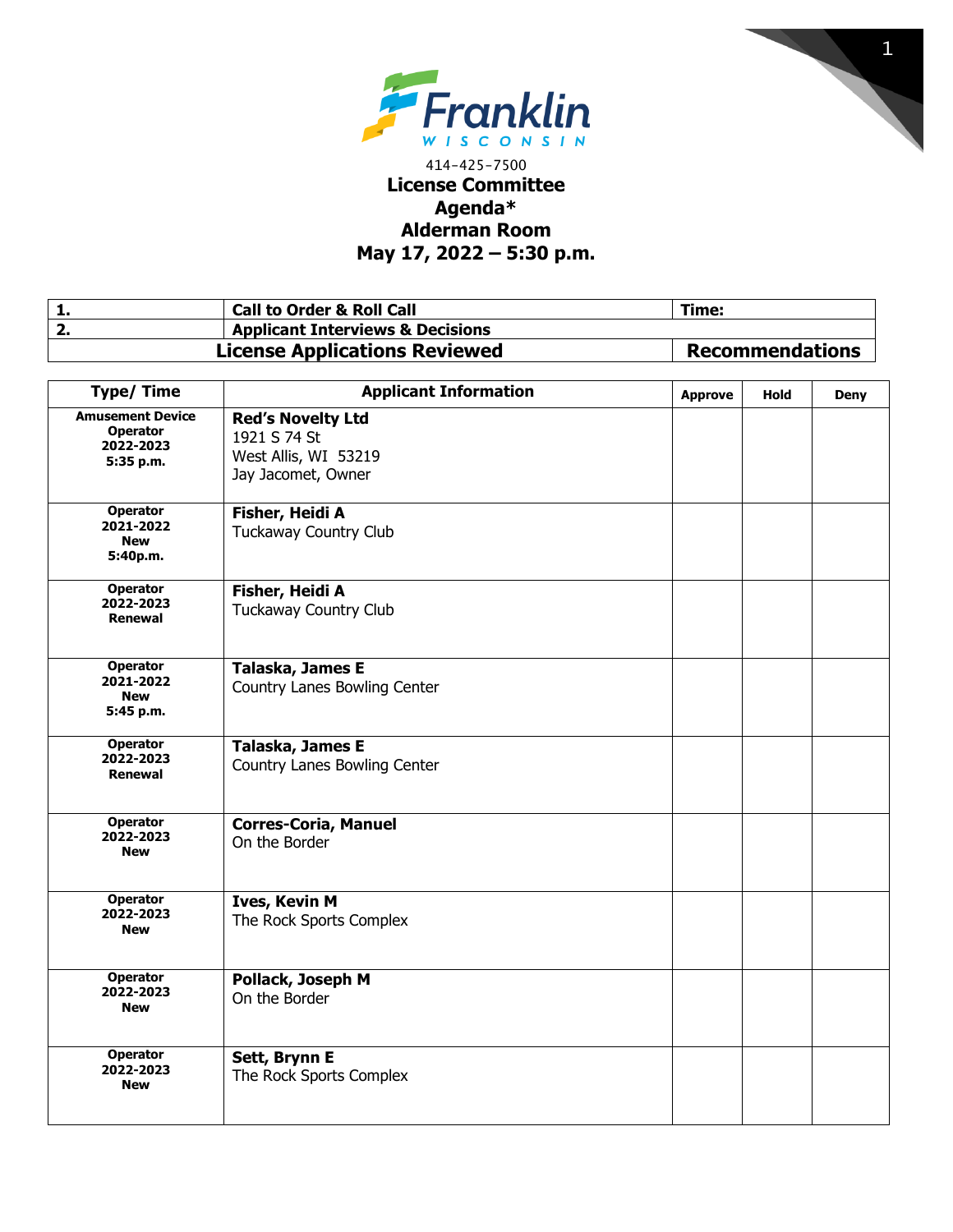



## 414-425-7500 **License Committee Agenda\* Alderman Room May 17, 2022 – 5:30 p.m.**

| . | <b>Call to Order &amp; Roll Call</b>        | Time:                  |
|---|---------------------------------------------|------------------------|
|   | <b>Applicant Interviews &amp; Decisions</b> |                        |
|   | <b>License Applications Reviewed</b>        | <b>Recommendations</b> |

| <b>Type/Time</b>                                                     | <b>Applicant Information</b>                                                           | <b>Approve</b> | <b>Hold</b> | <b>Deny</b> |
|----------------------------------------------------------------------|----------------------------------------------------------------------------------------|----------------|-------------|-------------|
| <b>Amusement Device</b><br><b>Operator</b><br>2022-2023<br>5:35 p.m. | <b>Red's Novelty Ltd</b><br>1921 S 74 St<br>West Allis, WI 53219<br>Jay Jacomet, Owner |                |             |             |
| <b>Operator</b><br>2021-2022<br><b>New</b><br>5:40p.m.               | Fisher, Heidi A<br><b>Tuckaway Country Club</b>                                        |                |             |             |
| <b>Operator</b><br>2022-2023<br>Renewal                              | Fisher, Heidi A<br><b>Tuckaway Country Club</b>                                        |                |             |             |
| <b>Operator</b><br>2021-2022<br><b>New</b><br>5:45 p.m.              | Talaska, James E<br>Country Lanes Bowling Center                                       |                |             |             |
| <b>Operator</b><br>2022-2023<br>Renewal                              | Talaska, James E<br>Country Lanes Bowling Center                                       |                |             |             |
| <b>Operator</b><br>2022-2023<br><b>New</b>                           | <b>Corres-Coria, Manuel</b><br>On the Border                                           |                |             |             |
| <b>Operator</b><br>2022-2023<br><b>New</b>                           | <b>Ives, Kevin M</b><br>The Rock Sports Complex                                        |                |             |             |
| <b>Operator</b><br>2022-2023<br><b>New</b>                           | Pollack, Joseph M<br>On the Border                                                     |                |             |             |
| <b>Operator</b><br>2022-2023<br><b>New</b>                           | Sett, Brynn E<br>The Rock Sports Complex                                               |                |             |             |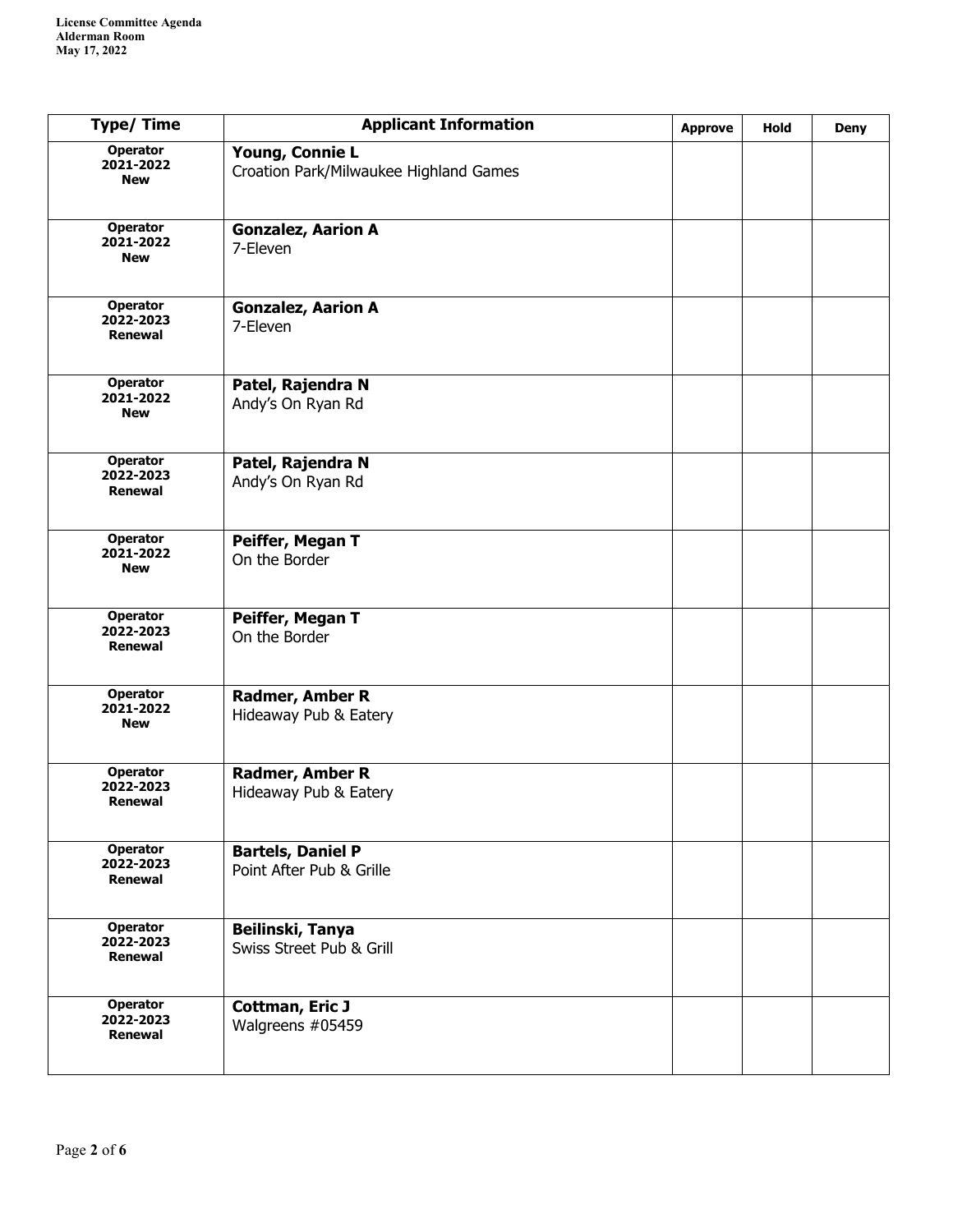| <b>Type/Time</b>                               | <b>Applicant Information</b>                              | <b>Approve</b> | Hold | <b>Deny</b> |
|------------------------------------------------|-----------------------------------------------------------|----------------|------|-------------|
| <b>Operator</b><br>2021-2022<br><b>New</b>     | Young, Connie L<br>Croation Park/Milwaukee Highland Games |                |      |             |
| <b>Operator</b><br>2021-2022<br><b>New</b>     | <b>Gonzalez, Aarion A</b><br>7-Eleven                     |                |      |             |
| <b>Operator</b><br>2022-2023<br>Renewal        | <b>Gonzalez, Aarion A</b><br>7-Eleven                     |                |      |             |
| <b>Operator</b><br>2021-2022<br><b>New</b>     | Patel, Rajendra N<br>Andy's On Ryan Rd                    |                |      |             |
| <b>Operator</b><br>2022-2023<br><b>Renewal</b> | Patel, Rajendra N<br>Andy's On Ryan Rd                    |                |      |             |
| <b>Operator</b><br>2021-2022<br><b>New</b>     | Peiffer, Megan T<br>On the Border                         |                |      |             |
| <b>Operator</b><br>2022-2023<br><b>Renewal</b> | Peiffer, Megan T<br>On the Border                         |                |      |             |
| <b>Operator</b><br>2021-2022<br><b>New</b>     | Radmer, Amber R<br>Hideaway Pub & Eatery                  |                |      |             |
| <b>Operator</b><br>2022-2023<br><b>Renewal</b> | Radmer, Amber R<br>Hideaway Pub & Eatery                  |                |      |             |
| <b>Operator</b><br>2022-2023<br>Renewal        | <b>Bartels, Daniel P</b><br>Point After Pub & Grille      |                |      |             |
| <b>Operator</b><br>2022-2023<br><b>Renewal</b> | Beilinski, Tanya<br>Swiss Street Pub & Grill              |                |      |             |
| <b>Operator</b><br>2022-2023<br>Renewal        | <b>Cottman, Eric J</b><br>Walgreens #05459                |                |      |             |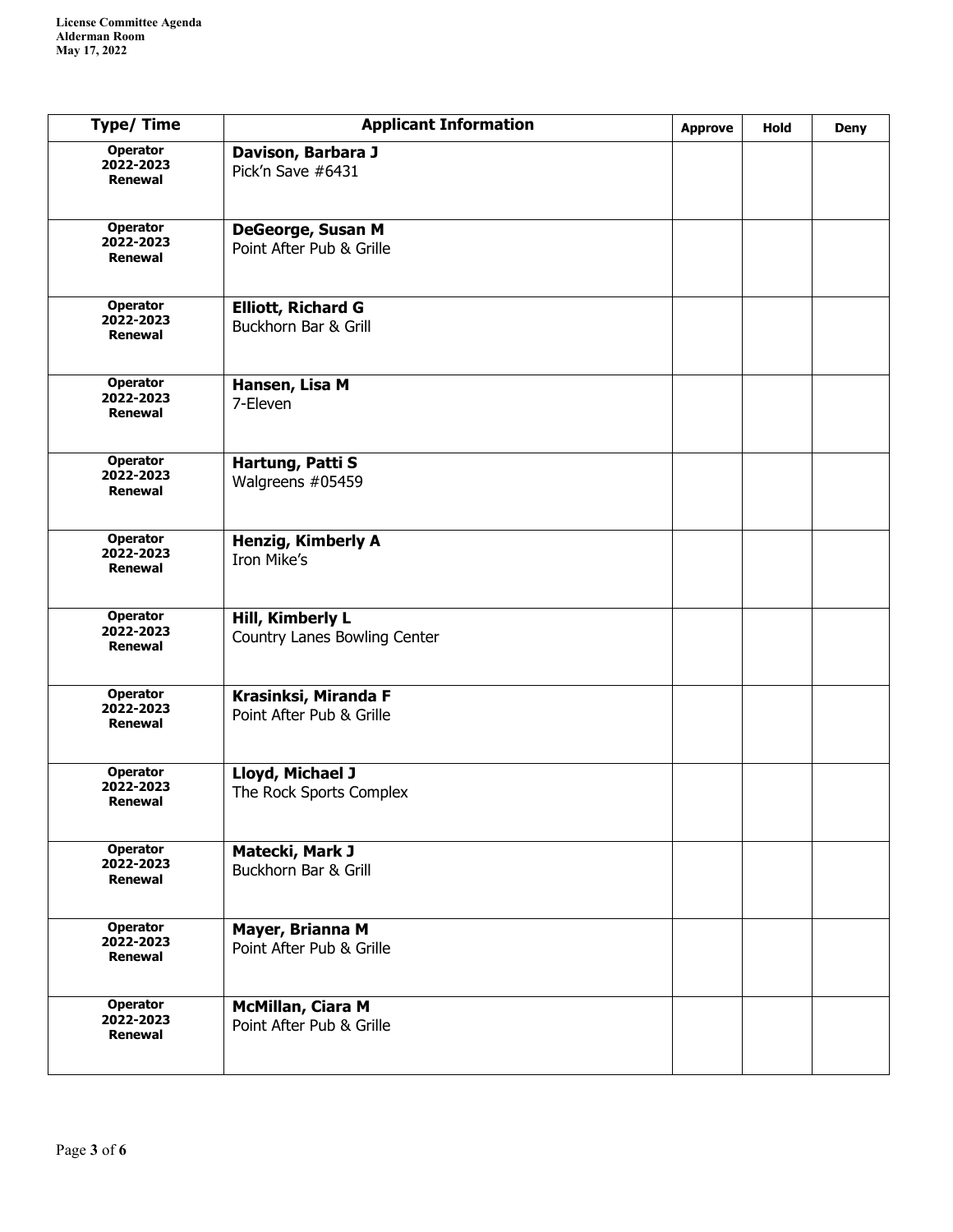| <b>Type/Time</b>                               | <b>Applicant Information</b>                         | <b>Approve</b> | <b>Hold</b> | <b>Deny</b> |
|------------------------------------------------|------------------------------------------------------|----------------|-------------|-------------|
| <b>Operator</b><br>2022-2023<br>Renewal        | Davison, Barbara J<br>Pick'n Save #6431              |                |             |             |
| <b>Operator</b><br>2022-2023<br>Renewal        | DeGeorge, Susan M<br>Point After Pub & Grille        |                |             |             |
| <b>Operator</b><br>2022-2023<br><b>Renewal</b> | <b>Elliott, Richard G</b><br>Buckhorn Bar & Grill    |                |             |             |
| <b>Operator</b><br>2022-2023<br><b>Renewal</b> | Hansen, Lisa M<br>7-Eleven                           |                |             |             |
| <b>Operator</b><br>2022-2023<br>Renewal        | Hartung, Patti S<br>Walgreens #05459                 |                |             |             |
| <b>Operator</b><br>2022-2023<br><b>Renewal</b> | <b>Henzig, Kimberly A</b><br>Iron Mike's             |                |             |             |
| Operator<br>2022-2023<br>Renewal               | Hill, Kimberly L<br>Country Lanes Bowling Center     |                |             |             |
| <b>Operator</b><br>2022-2023<br>Renewal        | Krasinksi, Miranda F<br>Point After Pub & Grille     |                |             |             |
| <b>Operator</b><br>2022-2023<br>Renewal        | Lloyd, Michael J<br>The Rock Sports Complex          |                |             |             |
| <b>Operator</b><br>2022-2023<br>Renewal        | Matecki, Mark J<br>Buckhorn Bar & Grill              |                |             |             |
| Operator<br>2022-2023<br>Renewal               | Mayer, Brianna M<br>Point After Pub & Grille         |                |             |             |
| <b>Operator</b><br>2022-2023<br>Renewal        | <b>McMillan, Ciara M</b><br>Point After Pub & Grille |                |             |             |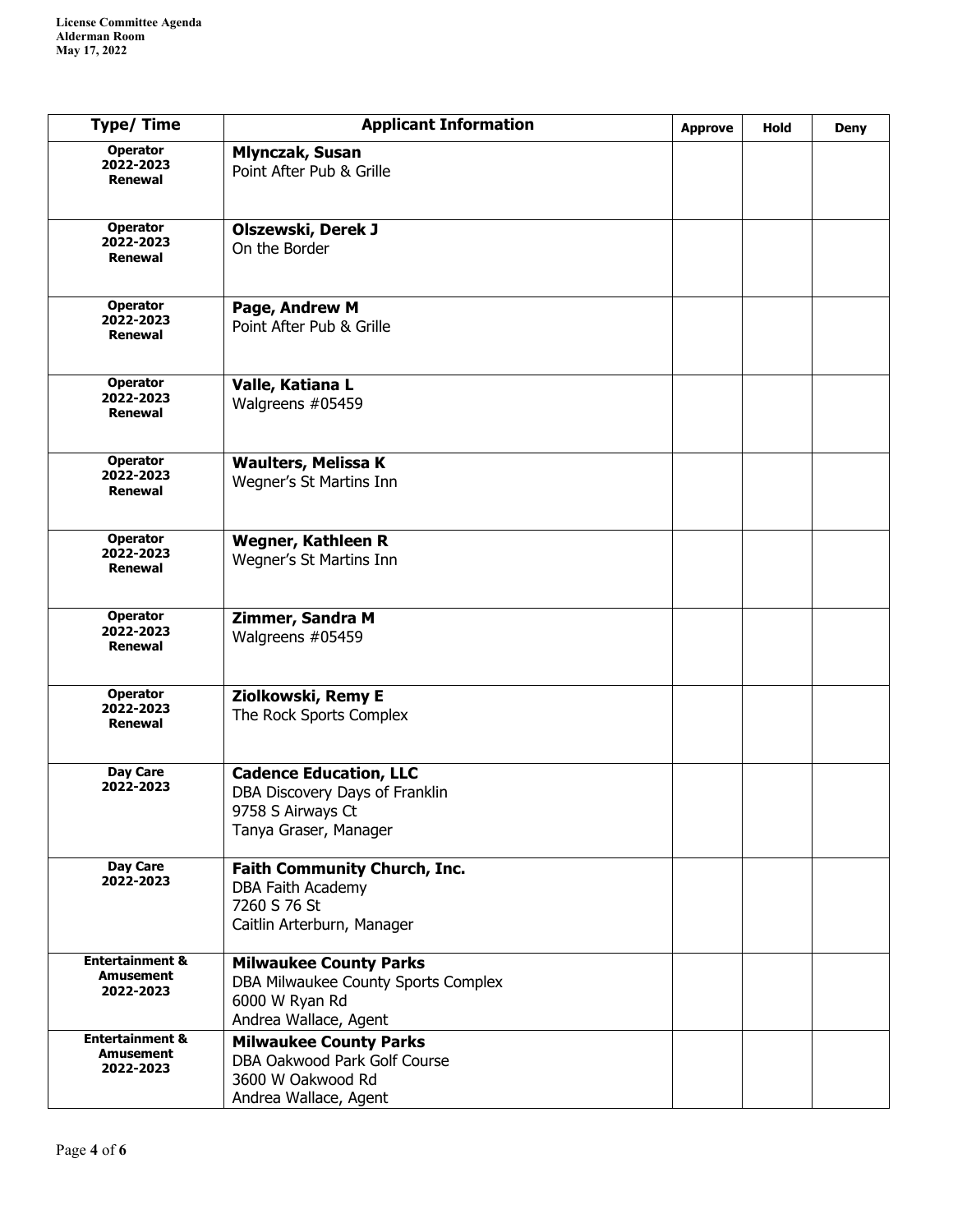| <b>Type/Time</b>                                            | <b>Applicant Information</b>                                                                                    | <b>Approve</b> | Hold | <b>Deny</b> |
|-------------------------------------------------------------|-----------------------------------------------------------------------------------------------------------------|----------------|------|-------------|
| <b>Operator</b><br>2022-2023<br>Renewal                     | <b>Mlynczak, Susan</b><br>Point After Pub & Grille                                                              |                |      |             |
| Operator<br>2022-2023<br>Renewal                            | <b>Olszewski, Derek J</b><br>On the Border                                                                      |                |      |             |
| <b>Operator</b><br>2022-2023<br>Renewal                     | Page, Andrew M<br>Point After Pub & Grille                                                                      |                |      |             |
| <b>Operator</b><br>2022-2023<br><b>Renewal</b>              | Valle, Katiana L<br>Walgreens #05459                                                                            |                |      |             |
| <b>Operator</b><br>2022-2023<br>Renewal                     | <b>Waulters, Melissa K</b><br>Wegner's St Martins Inn                                                           |                |      |             |
| <b>Operator</b><br>2022-2023<br>Renewal                     | Wegner, Kathleen R<br>Wegner's St Martins Inn                                                                   |                |      |             |
| <b>Operator</b><br>2022-2023<br><b>Renewal</b>              | Zimmer, Sandra M<br>Walgreens #05459                                                                            |                |      |             |
| <b>Operator</b><br>2022-2023<br>Renewal                     | Ziolkowski, Remy E<br>The Rock Sports Complex                                                                   |                |      |             |
| Day Care<br>2022-2023                                       | <b>Cadence Education, LLC</b><br>DBA Discovery Days of Franklin<br>9758 S Airways Ct<br>Tanya Graser, Manager   |                |      |             |
| Day Care<br>2022-2023                                       | <b>Faith Community Church, Inc.</b><br>DBA Faith Academy<br>7260 S 76 St<br>Caitlin Arterburn, Manager          |                |      |             |
| <b>Entertainment &amp;</b><br><b>Amusement</b><br>2022-2023 | <b>Milwaukee County Parks</b><br>DBA Milwaukee County Sports Complex<br>6000 W Ryan Rd<br>Andrea Wallace, Agent |                |      |             |
| <b>Entertainment &amp;</b><br><b>Amusement</b><br>2022-2023 | <b>Milwaukee County Parks</b><br>DBA Oakwood Park Golf Course<br>3600 W Oakwood Rd<br>Andrea Wallace, Agent     |                |      |             |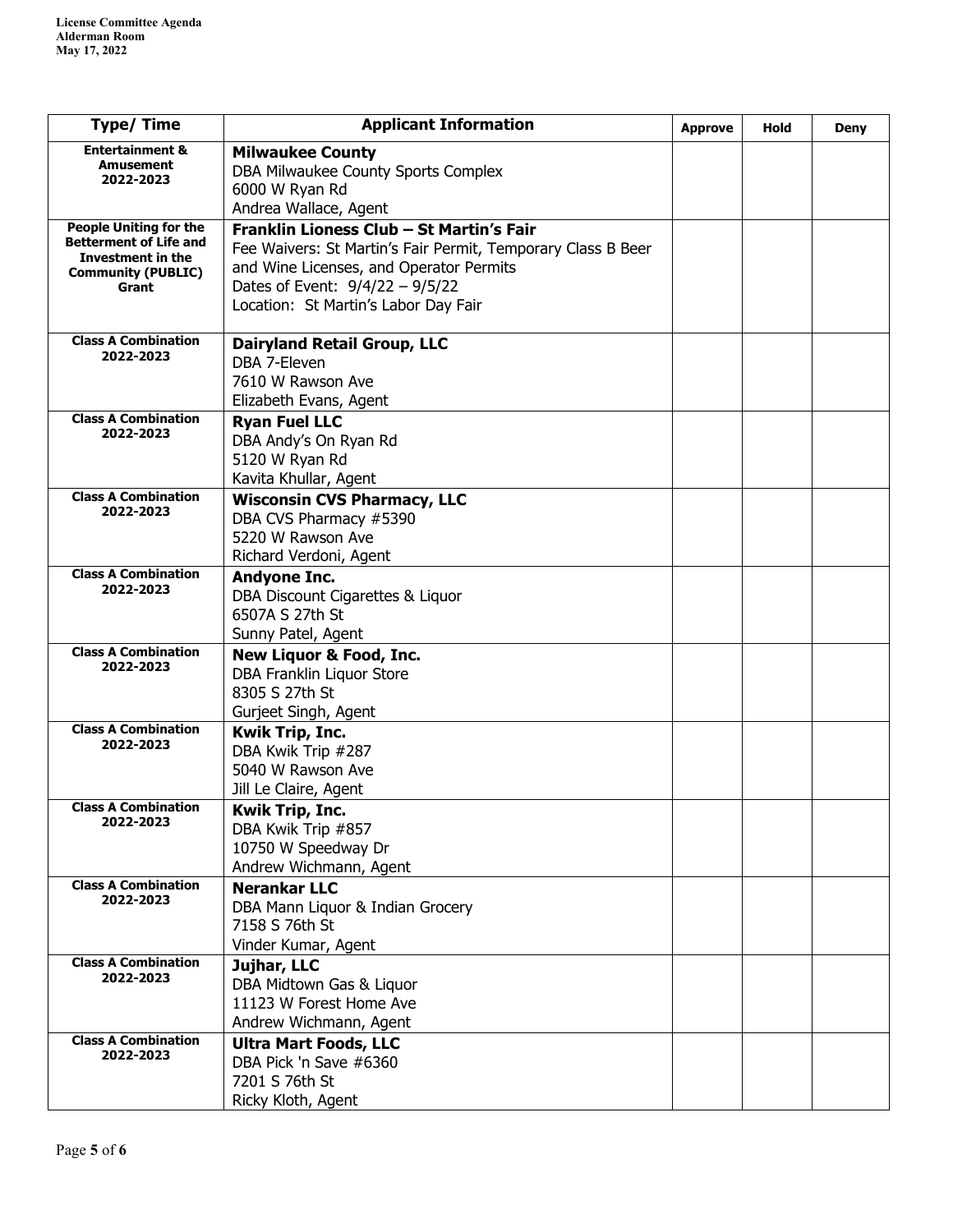| <b>Type/Time</b>                                                                         | <b>Applicant Information</b>                                                                                                                                                         | <b>Approve</b> | Hold | Deny |
|------------------------------------------------------------------------------------------|--------------------------------------------------------------------------------------------------------------------------------------------------------------------------------------|----------------|------|------|
| <b>Entertainment &amp;</b><br>Amusement<br>2022-2023                                     | <b>Milwaukee County</b><br>DBA Milwaukee County Sports Complex<br>6000 W Ryan Rd                                                                                                     |                |      |      |
| <b>People Uniting for the</b>                                                            | Andrea Wallace, Agent<br>Franklin Lioness Club - St Martin's Fair                                                                                                                    |                |      |      |
| <b>Betterment of Life and</b><br>Investment in the<br><b>Community (PUBLIC)</b><br>Grant | Fee Waivers: St Martin's Fair Permit, Temporary Class B Beer<br>and Wine Licenses, and Operator Permits<br>Dates of Event: $9/4/22 - 9/5/22$<br>Location: St Martin's Labor Day Fair |                |      |      |
| <b>Class A Combination</b><br>2022-2023                                                  | <b>Dairyland Retail Group, LLC</b><br>DBA 7-Eleven<br>7610 W Rawson Ave<br>Elizabeth Evans, Agent                                                                                    |                |      |      |
| <b>Class A Combination</b><br>2022-2023                                                  | <b>Ryan Fuel LLC</b><br>DBA Andy's On Ryan Rd<br>5120 W Ryan Rd<br>Kavita Khullar, Agent                                                                                             |                |      |      |
| <b>Class A Combination</b><br>2022-2023                                                  | <b>Wisconsin CVS Pharmacy, LLC</b><br>DBA CVS Pharmacy #5390<br>5220 W Rawson Ave<br>Richard Verdoni, Agent                                                                          |                |      |      |
| <b>Class A Combination</b><br>2022-2023                                                  | <b>Andyone Inc.</b><br>DBA Discount Cigarettes & Liquor<br>6507A S 27th St<br>Sunny Patel, Agent                                                                                     |                |      |      |
| <b>Class A Combination</b><br>2022-2023                                                  | <b>New Liquor &amp; Food, Inc.</b><br>DBA Franklin Liquor Store<br>8305 S 27th St<br>Gurjeet Singh, Agent                                                                            |                |      |      |
| <b>Class A Combination</b><br>2022-2023                                                  | <b>Kwik Trip, Inc.</b><br>DBA Kwik Trip #287<br>5040 W Rawson Ave<br>Jill Le Claire, Agent                                                                                           |                |      |      |
| <b>Class A Combination</b><br>2022-2023                                                  | Kwik Trip, Inc.<br>DBA Kwik Trip #857<br>10750 W Speedway Dr<br>Andrew Wichmann, Agent                                                                                               |                |      |      |
| <b>Class A Combination</b><br>2022-2023                                                  | <b>Nerankar LLC</b><br>DBA Mann Liquor & Indian Grocery<br>7158 S 76th St<br>Vinder Kumar, Agent                                                                                     |                |      |      |
| <b>Class A Combination</b><br>2022-2023                                                  | Jujhar, LLC<br>DBA Midtown Gas & Liquor<br>11123 W Forest Home Ave<br>Andrew Wichmann, Agent                                                                                         |                |      |      |
| <b>Class A Combination</b><br>2022-2023                                                  | <b>Ultra Mart Foods, LLC</b><br>DBA Pick 'n Save #6360<br>7201 S 76th St<br>Ricky Kloth, Agent                                                                                       |                |      |      |